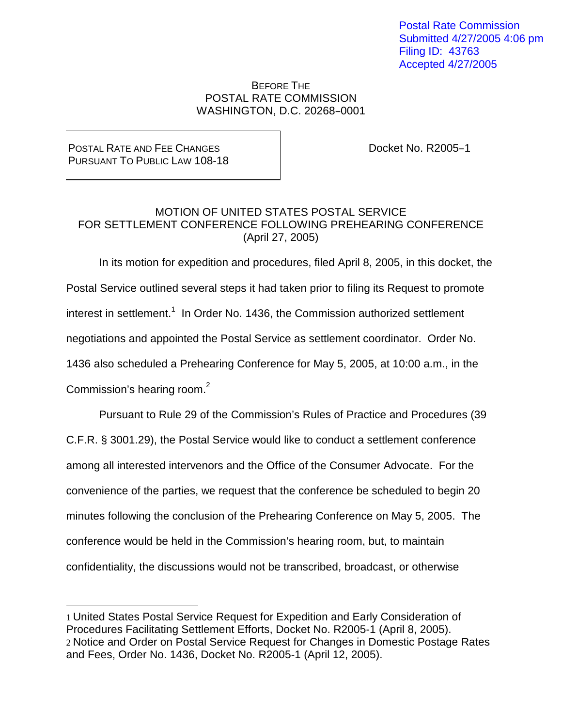Postal Rate Commission Submitted 4/27/2005 4:06 pm Filing ID: 43763 Accepted 4/27/2005

## BEFORE THE POSTAL RATE COMMISSION WASHINGTON, D.C. 20268-0001

## POSTAL RATE AND FEE CHANGES PURSUANT TO PUBLIC LAW 108-18

Docket No. R2005-1

## MOTION OF UNITED STATES POSTAL SERVICE FOR SETTLEMENT CONFERENCE FOLLOWING PREHEARING CONFERENCE (April 27, 2005)

In its motion for expedition and procedures, filed April 8, 2005, in this docket, the Postal Service outlined several steps it had taken prior to filing its Request to promote interest in settlement.<sup>1</sup> In Order No. 1436, the Commission authorized settlement negotiations and appointed the Postal Service as settlement coordinator. Order No. 1436 also scheduled a Prehearing Conference for May 5, 2005, at 10:00 a.m., in the Commission's hearing room.<sup>2</sup>

Pursuant to Rule 29 of the Commission's Rules of Practice and Procedures (39 C.F.R. § 3001.29), the Postal Service would like to conduct a settlement conference among all interested intervenors and the Office of the Consumer Advocate. For the convenience of the parties, we request that the conference be scheduled to begin 20 minutes following the conclusion of the Prehearing Conference on May 5, 2005. The conference would be held in the Commission's hearing room, but, to maintain confidentiality, the discussions would not be transcribed, broadcast, or otherwise

<sup>1</sup> United States Postal Service Request for Expedition and Early Consideration of Procedures Facilitating Settlement Efforts, Docket No. R2005-1 (April 8, 2005). 2 Notice and Order on Postal Service Request for Changes in Domestic Postage Rates and Fees, Order No. 1436, Docket No. R2005-1 (April 12, 2005).